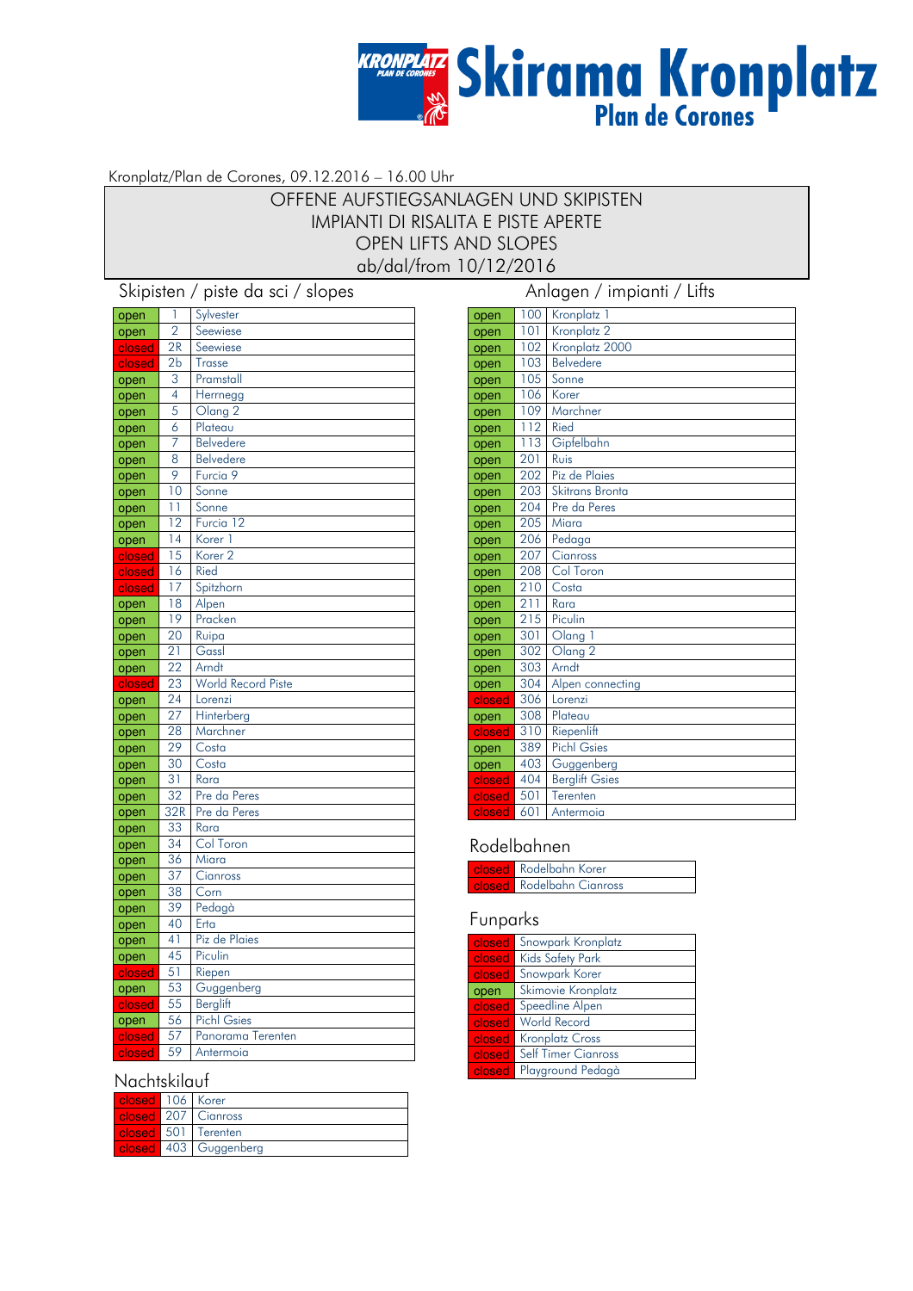# **KRONPLATZ**<br>Skirama Kronplatz

#### Kronplatz/Plan de Corones, 09.12.2016 – 16.00 Uhr

## OFFENE AUFSTIEGSANLAGEN UND SKIPISTEN IMPIANTI DI RISALITA E PISTE APERTE OPEN LIFTS AND SLOPES ab/dal/from 10/12/2016

Skipisten / piste da sci / slopes Anlagen / impianti / Lifts

| open         | 1               | Sylvester             |
|--------------|-----------------|-----------------------|
| open         | $\overline{2}$  | Seewiese              |
| closed       | 2R              | Seewiese              |
| closed       | 2 <sub>b</sub>  | <b>Trasse</b>         |
| open         | 3               | Pramstall             |
| open         | $\overline{4}$  | Herrnegg              |
| open         | 5               | Olang <sub>2</sub>    |
| open         | 6               | Plateau               |
| open         | 7               | <b>Belvedere</b>      |
| open         | 8               | <b>Belvedere</b>      |
| open         | 9               | Furcia 9              |
| open         | 10              | Sonne                 |
| open         | 11              | Sonne                 |
| open         | 12              | Furcia 12             |
| open         | 14              | Korer 1               |
| closed       | 15              | Korer <sub>2</sub>    |
| closed       | 16              | Ried                  |
| closed       | 17              | Spitzhorn             |
| open         | 18              | Alpen                 |
| open         | 19              | Pracken               |
| open         | 20              | Ruipa                 |
| open         | $\overline{21}$ | Gassl                 |
| open         | 22              | Arndt                 |
| closed       | 23              | World Record Piste    |
| open         | 24<br>27        | Lorenzi<br>Hinterberg |
| open         | 28              | Marchner              |
| open         | 29              | Costa                 |
| open         | 30              | Costa                 |
| open         | 31              | Rara                  |
| open         | 32              | Pre da Peres          |
| open         | 32R             | Pre da Peres          |
| open         | 33              | Rara                  |
| open<br>open | 34              | Col Toron             |
| open         | 36              | Miara                 |
| open         | 37              | Cianross              |
| open         | 38              | Corn                  |
| open         | 39              | Pedagà                |
| open         | 40              | Erta                  |
| open         | 41              | Piz de Plaies         |
| open         | 45              | Piculin               |
| closed       | 51              | Riepen                |
| open         | 53              | Guggenberg            |
| closed       | 55              | Berglift              |
| open         | 56              | <b>Pichl Gsies</b>    |
| closed       | 57              | Panorama Terenten     |
| closed       | 59              | Antermoia             |

#### **Nachtskilauf**

| closed 106 Korer |                            |
|------------------|----------------------------|
|                  | <b>closed</b> 207 Cianross |
| closed 501       | Terenten                   |
|                  | closed 403 Guggenberg      |

| open   | 100 | Kronplatz 1           |
|--------|-----|-----------------------|
| open   | 101 | Kronplatz 2           |
| open   | 102 | Kronplatz 2000        |
| open   | 103 | Belvedere             |
| open   | 105 | Sonne                 |
| open   | 106 | Korer                 |
| open   | 109 | Marchner              |
| open   | 112 | <b>Ried</b>           |
| open   | 113 | Gipfelbahn            |
| open   | 201 | Ruis                  |
| open   | 202 | Piz de Plaies         |
| open   | 203 | Skitrans Bronta       |
| open   | 204 | Pre da Peres          |
| open   | 205 | Miara                 |
| open   | 206 | Pedaga                |
| open   | 207 | Cianross              |
| open   | 208 | Col Toron             |
| open   | 210 | Costa                 |
| open   | 211 | Rara                  |
| open   | 215 | Piculin               |
| open   | 301 | Olang 1               |
| open   | 302 | Olang <sub>2</sub>    |
| open   | 303 | Arndt                 |
| open   | 304 | Alpen connecting      |
| closed | 306 | Lorenzi               |
| open   | 308 | Plateau               |
| closed | 310 | Riepenlift            |
| open   | 389 | <b>Pichl Gsies</b>    |
| open   | 403 | Guggenberg            |
| closed | 404 | <b>Berglift Gsies</b> |
| closed | 501 | Terenten              |
| closed | 601 | Antermoia             |

#### Rodelbahnen

| <b>Closed</b> Rodelbahn Korer    |
|----------------------------------|
| <b>Closed</b> Rodelbahn Cianross |

#### Funparks

| closed | Snowpark Kronplatz         |
|--------|----------------------------|
| closed | Kids Safety Park           |
| closed | Snowpark Korer             |
| open   | Skimovie Kronplatz         |
| closed | Speedline Alpen            |
| closed | <b>World Record</b>        |
| closed | <b>Kronplatz Cross</b>     |
| closed | <b>Self Timer Cianross</b> |
| closed | Playground Pedagà          |